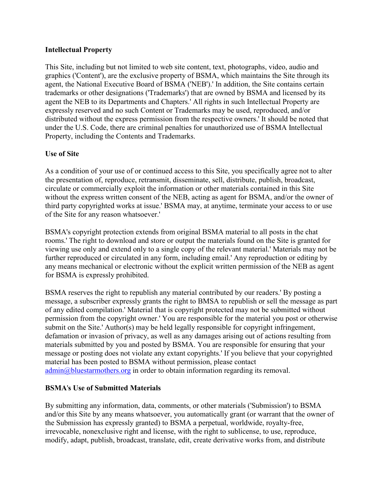### **Intellectual Property**

This Site, including but not limited to web site content, text, photographs, video, audio and graphics ('Content'), are the exclusive property of BSMA, which maintains the Site through its agent, the National Executive Board of BSMA ('NEB').' In addition, the Site contains certain trademarks or other designations ('Trademarks') that are owned by BSMA and licensed by its agent the NEB to its Departments and Chapters.' All rights in such Intellectual Property are expressly reserved and no such Content or Trademarks may be used, reproduced, and/or distributed without the express permission from the respective owners.' It should be noted that under the U.S. Code, there are criminal penalties for unauthorized use of BSMA Intellectual Property, including the Contents and Trademarks.

## **Use of Site**

As a condition of your use of or continued access to this Site, you specifically agree not to alter the presentation of, reproduce, retransmit, disseminate, sell, distribute, publish, broadcast, circulate or commercially exploit the information or other materials contained in this Site without the express written consent of the NEB, acting as agent for BSMA, and/or the owner of third party copyrighted works at issue.' BSMA may, at anytime, terminate your access to or use of the Site for any reason whatsoever.'

BSMA's copyright protection extends from original BSMA material to all posts in the chat rooms.' The right to download and store or output the materials found on the Site is granted for viewing use only and extend only to a single copy of the relevant material.' Materials may not be further reproduced or circulated in any form, including email.' Any reproduction or editing by any means mechanical or electronic without the explicit written permission of the NEB as agent for BSMA is expressly prohibited.

BSMA reserves the right to republish any material contributed by our readers.' By posting a message, a subscriber expressly grants the right to BMSA to republish or sell the message as part of any edited compilation.' Material that is copyright protected may not be submitted without permission from the copyright owner.' You are responsible for the material you post or otherwise submit on the Site.' Author(s) may be held legally responsible for copyright infringement, defamation or invasion of privacy, as well as any damages arising out of actions resulting from materials submitted by you and posted by BSMA. You are responsible for ensuring that your message or posting does not violate any extant copyrights.' If you believe that your copyrighted material has been posted to BSMA without permission, please contact [admin@bluestarmothers.org](mailto:admin@bluestarmothers.org) in order to obtain information regarding its removal.

## **BSMA**'**s Use of Submitted Materials**

By submitting any information, data, comments, or other materials ('Submission') to BSMA and/or this Site by any means whatsoever, you automatically grant (or warrant that the owner of the Submission has expressly granted) to BSMA a perpetual, worldwide, royalty-free, irrevocable, nonexclusive right and license, with the right to sublicense, to use, reproduce, modify, adapt, publish, broadcast, translate, edit, create derivative works from, and distribute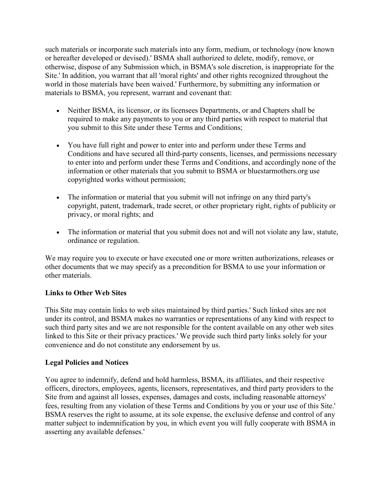such materials or incorporate such materials into any form, medium, or technology (now known or hereafter developed or devised).' BSMA shall authorized to delete, modify, remove, or otherwise, dispose of any Submission which, in BSMA's sole discretion, is inappropriate for the Site.' In addition, you warrant that all 'moral rights' and other rights recognized throughout the world in those materials have been waived.' Furthermore, by submitting any information or materials to BSMA, you represent, warrant and covenant that:

- Neither BSMA, its licensor, or its licensees Departments, or and Chapters shall be required to make any payments to you or any third parties with respect to material that you submit to this Site under these Terms and Conditions;
- You have full right and power to enter into and perform under these Terms and Conditions and have secured all third-party consents, licenses, and permissions necessary to enter into and perform under these Terms and Conditions, and accordingly none of the information or other materials that you submit to BSMA or bluestarmothers.org use copyrighted works without permission;
- The information or material that you submit will not infringe on any third party's copyright, patent, trademark, trade secret, or other proprietary right, rights of publicity or privacy, or moral rights; and
- The information or material that you submit does not and will not violate any law, statute, ordinance or regulation.

We may require you to execute or have executed one or more written authorizations, releases or other documents that we may specify as a precondition for BSMA to use your information or other materials.

## **Links to Other Web Sites**

This Site may contain links to web sites maintained by third parties.' Such linked sites are not under its control, and BSMA makes no warranties or representations of any kind with respect to such third party sites and we are not responsible for the content available on any other web sites linked to this Site or their privacy practices.' We provide such third party links solely for your convenience and do not constitute any endorsement by us.

## **Legal Policies and Notices**

You agree to indemnify, defend and hold harmless, BSMA, its affiliates, and their respective officers, directors, employees, agents, licensors, representatives, and third party providers to the Site from and against all losses, expenses, damages and costs, including reasonable attorneys' fees, resulting from any violation of these Terms and Conditions by you or your use of this Site.' BSMA reserves the right to assume, at its sole expense, the exclusive defense and control of any matter subject to indemnification by you, in which event you will fully cooperate with BSMA in asserting any available defenses.'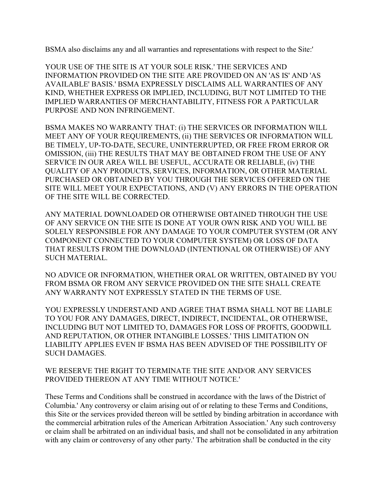BSMA also disclaims any and all warranties and representations with respect to the Site:'

YOUR USE OF THE SITE IS AT YOUR SOLE RISK.' THE SERVICES AND INFORMATION PROVIDED ON THE SITE ARE PROVIDED ON AN 'AS IS' AND 'AS AVAILABLE' BASIS.' BSMA EXPRESSLY DISCLAIMS ALL WARRANTIES OF ANY KIND, WHETHER EXPRESS OR IMPLIED, INCLUDING, BUT NOT LIMITED TO THE IMPLIED WARRANTIES OF MERCHANTABILITY, FITNESS FOR A PARTICULAR PURPOSE AND NON INFRINGEMENT.

BSMA MAKES NO WARRANTY THAT: (i) THE SERVICES OR INFORMATION WILL MEET ANY OF YOUR REQUIREMENTS, (ii) THE SERVICES OR INFORMATION WILL BE TIMELY, UP-TO-DATE, SECURE, UNINTERRUPTED, OR FREE FROM ERROR OR OMISSION, (iii) THE RESULTS THAT MAY BE OBTAINED FROM THE USE OF ANY SERVICE IN OUR AREA WILL BE USEFUL, ACCURATE OR RELIABLE, (iv) THE QUALITY OF ANY PRODUCTS, SERVICES, INFORMATION, OR OTHER MATERIAL PURCHASED OR OBTAINED BY YOU THROUGH THE SERVICES OFFERED ON THE SITE WILL MEET YOUR EXPECTATIONS, AND (V) ANY ERRORS IN THE OPERATION OF THE SITE WILL BE CORRECTED.

ANY MATERIAL DOWNLOADED OR OTHERWISE OBTAINED THROUGH THE USE OF ANY SERVICE ON THE SITE IS DONE AT YOUR OWN RISK AND YOU WILL BE SOLELY RESPONSIBLE FOR ANY DAMAGE TO YOUR COMPUTER SYSTEM (OR ANY COMPONENT CONNECTED TO YOUR COMPUTER SYSTEM) OR LOSS OF DATA THAT RESULTS FROM THE DOWNLOAD (INTENTIONAL OR OTHERWISE) OF ANY SUCH MATERIAL.

NO ADVICE OR INFORMATION, WHETHER ORAL OR WRITTEN, OBTAINED BY YOU FROM BSMA OR FROM ANY SERVICE PROVIDED ON THE SITE SHALL CREATE ANY WARRANTY NOT EXPRESSLY STATED IN THE TERMS OF USE.

YOU EXPRESSLY UNDERSTAND AND AGREE THAT BSMA SHALL NOT BE LIABLE TO YOU FOR ANY DAMAGES, DIRECT, INDIRECT, INCIDENTAL, OR OTHERWISE, INCLUDING BUT NOT LIMITED TO, DAMAGES FOR LOSS OF PROFITS, GOODWILL AND REPUTATION, OR OTHER INTANGIBLE LOSSES.' THIS LIMITATION ON LIABILITY APPLIES EVEN IF BSMA HAS BEEN ADVISED OF THE POSSIBILITY OF SUCH DAMAGES.

WE RESERVE THE RIGHT TO TERMINATE THE SITE AND/OR ANY SERVICES PROVIDED THEREON AT ANY TIME WITHOUT NOTICE.'

These Terms and Conditions shall be construed in accordance with the laws of the District of Columbia.' Any controversy or claim arising out of or relating to these Terms and Conditions, this Site or the services provided thereon will be settled by binding arbitration in accordance with the commercial arbitration rules of the American Arbitration Association.' Any such controversy or claim shall be arbitrated on an individual basis, and shall not be consolidated in any arbitration with any claim or controversy of any other party.' The arbitration shall be conducted in the city